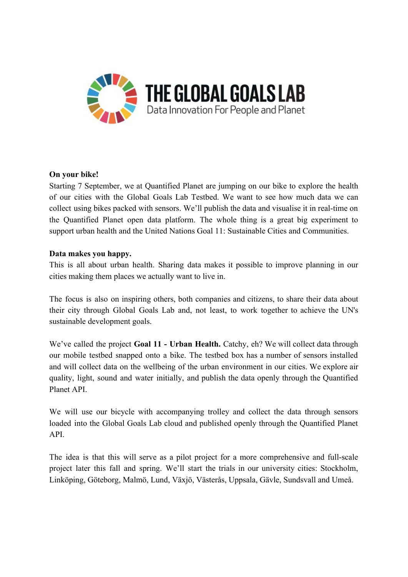

## **On your bike!**

Starting 7 September, we at Quantified Planet are jumping on our bike to explore the health of our cities with the Global Goals Lab Testbed. We want to see how much data we can collect using bikes packed with sensors. We'll publish the data and visualise it in real-time on the Quantified Planet open data platform. The whole thing is a great big experiment to support urban health and the United Nations Goal 11: Sustainable Cities and Communities.

## **Data makes you happy.**

This is all about urban health. Sharing data makes it possible to improve planning in our cities making them places we actually want to live in.

The focus is also on inspiring others, both companies and citizens, to share their data about their city through Global Goals Lab and, not least, to work together to achieve the UN's sustainable development goals.

We've called the project **Goal 11 - Urban Health.** Catchy, eh? We will collect data through our mobile testbed snapped onto a bike. The testbed box has a number of sensors installed and will collect data on the wellbeing of the urban environment in our cities. We explore air quality, light, sound and water initially, and publish the data openly through the Quantified Planet API.

We will use our bicycle with accompanying trolley and collect the data through sensors loaded into the Global Goals Lab cloud and published openly through the Quantified Planet API.

The idea is that this will serve as a pilot project for a more comprehensive and full-scale project later this fall and spring. We'll start the trials in our university cities: Stockholm, Linköping, Göteborg, Malmö, Lund, Växjö, Västerås, Uppsala, Gävle, Sundsvall and Umeå.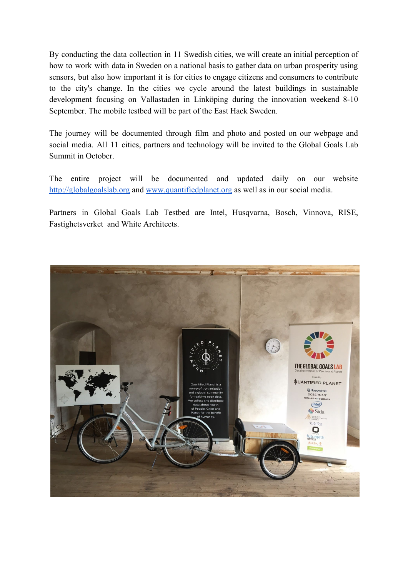By conducting the data collection in 11 Swedish cities, we will create an initial perception of how to work with data in Sweden on a national basis to gather data on urban prosperity using sensors, but also how important it is for cities to engage citizens and consumers to contribute to the city's change. In the cities we cycle around the latest buildings in sustainable development focusing on Vallastaden in Linköping during the innovation weekend 8-10 September. The mobile testbed will be part of the East Hack Sweden.

The journey will be documented through film and photo and posted on our webpage and social media. All 11 cities, partners and technology will be invited to the Global Goals Lab Summit in October.

The entire project will be documented and updated daily on our website [http://globalgoalslab.org](http://globalgoalslab.org/) and [www.quantifiedplanet.org](http://www.quantifiedplanet.org/) as well as in our social media.

Partners in Global Goals Lab Testbed are Intel, Husqvarna, Bosch, Vinnova, RISE, Fastighetsverket and White Architects.